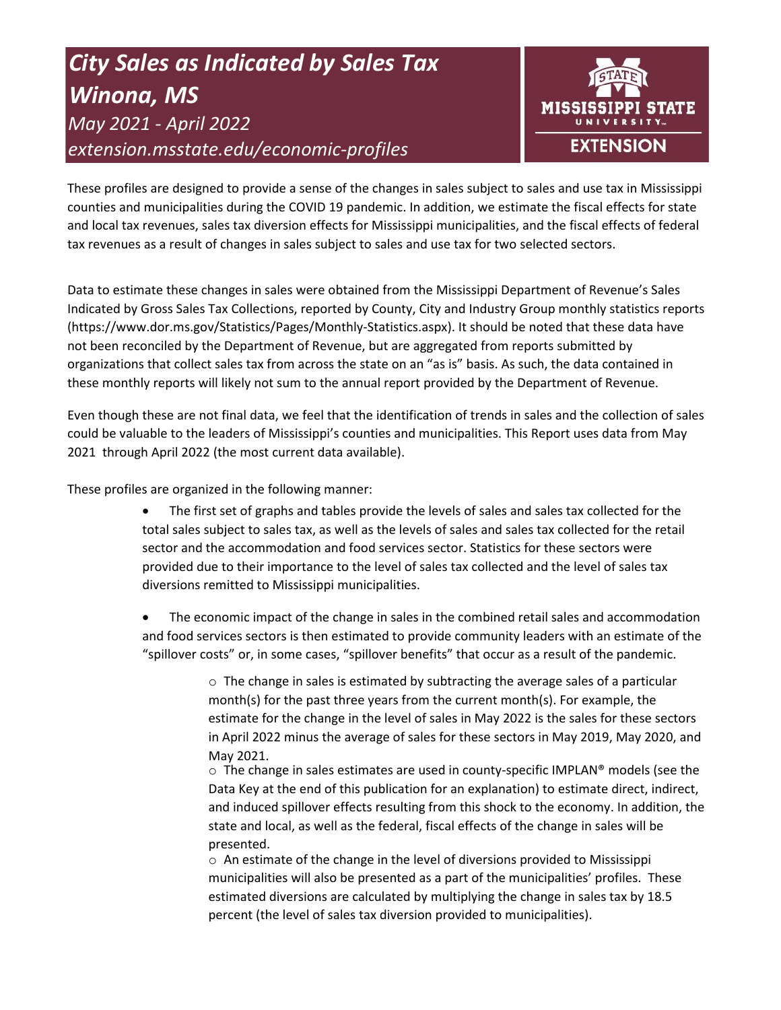# *City Sales as Indicated by Sales Tax Winona, MS May 2021 - April 2022 extension.msstate.edu/economic-profiles*



These profiles are designed to provide a sense of the changes in sales subject to sales and use tax in Mississippi counties and municipalities during the COVID 19 pandemic. In addition, we estimate the fiscal effects for state and local tax revenues, sales tax diversion effects for Mississippi municipalities, and the fiscal effects of federal tax revenues as a result of changes in sales subject to sales and use tax for two selected sectors.

Data to estimate these changes in sales were obtained from the Mississippi Department of Revenue's Sales Indicated by Gross Sales Tax Collections, reported by County, City and Industry Group monthly statistics reports (https://www.dor.ms.gov/Statistics/Pages/Monthly-Statistics.aspx). It should be noted that these data have not been reconciled by the Department of Revenue, but are aggregated from reports submitted by organizations that collect sales tax from across the state on an "as is" basis. As such, the data contained in these monthly reports will likely not sum to the annual report provided by the Department of Revenue.

Even though these are not final data, we feel that the identification of trends in sales and the collection of sales could be valuable to the leaders of Mississippi's counties and municipalities. This Report uses data from May 2021 through April 2022 (the most current data available).

These profiles are organized in the following manner:

- The first set of graphs and tables provide the levels of sales and sales tax collected for the total sales subject to sales tax, as well as the levels of sales and sales tax collected for the retail sector and the accommodation and food services sector. Statistics for these sectors were provided due to their importance to the level of sales tax collected and the level of sales tax diversions remitted to Mississippi municipalities.
- The economic impact of the change in sales in the combined retail sales and accommodation and food services sectors is then estimated to provide community leaders with an estimate of the "spillover costs" or, in some cases, "spillover benefits" that occur as a result of the pandemic.

 $\circ$  The change in sales is estimated by subtracting the average sales of a particular month(s) for the past three years from the current month(s). For example, the estimate for the change in the level of sales in May 2022 is the sales for these sectors in April 2022 minus the average of sales for these sectors in May 2019, May 2020, and May 2021.

 $\circ$  The change in sales estimates are used in county-specific IMPLAN® models (see the Data Key at the end of this publication for an explanation) to estimate direct, indirect, and induced spillover effects resulting from this shock to the economy. In addition, the state and local, as well as the federal, fiscal effects of the change in sales will be presented.

 $\circ$  An estimate of the change in the level of diversions provided to Mississippi municipalities will also be presented as a part of the municipalities' profiles. These estimated diversions are calculated by multiplying the change in sales tax by 18.5 percent (the level of sales tax diversion provided to municipalities).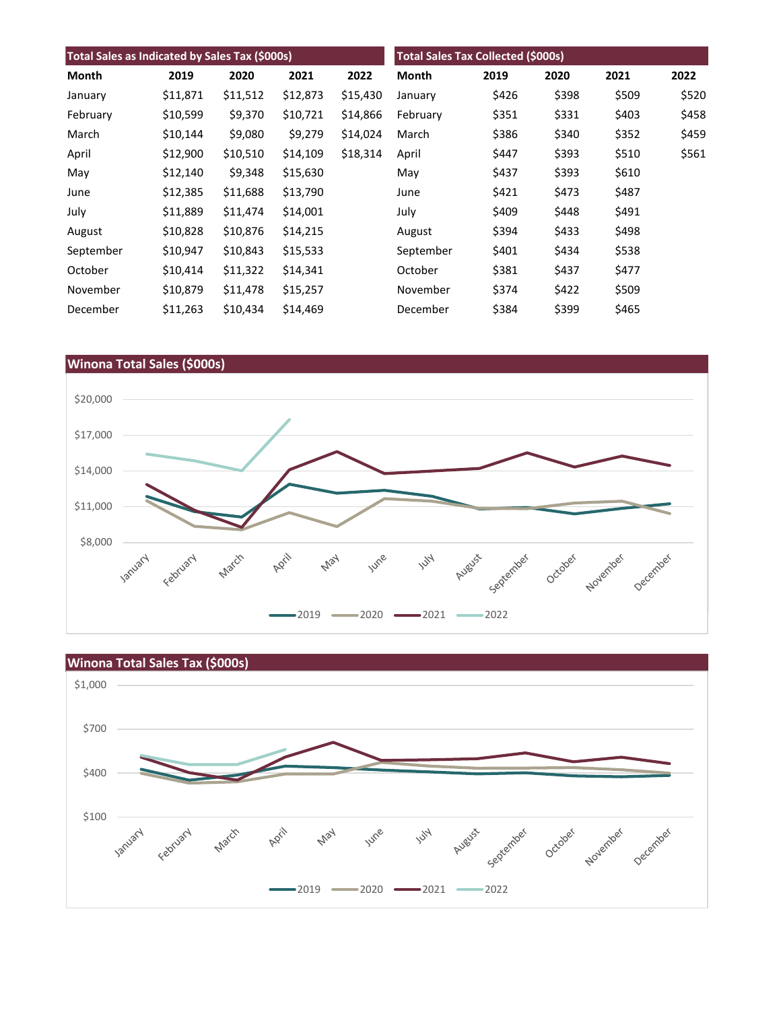| Total Sales as Indicated by Sales Tax (\$000s) |          |          |          | <b>Total Sales Tax Collected (\$000s)</b> |           |       |       |       |       |
|------------------------------------------------|----------|----------|----------|-------------------------------------------|-----------|-------|-------|-------|-------|
| Month                                          | 2019     | 2020     | 2021     | 2022                                      | Month     | 2019  | 2020  | 2021  | 2022  |
| January                                        | \$11,871 | \$11,512 | \$12,873 | \$15,430                                  | January   | \$426 | \$398 | \$509 | \$520 |
| February                                       | \$10,599 | \$9,370  | \$10,721 | \$14,866                                  | February  | \$351 | \$331 | \$403 | \$458 |
| March                                          | \$10,144 | \$9,080  | \$9,279  | \$14,024                                  | March     | \$386 | \$340 | \$352 | \$459 |
| April                                          | \$12,900 | \$10,510 | \$14,109 | \$18,314                                  | April     | \$447 | \$393 | \$510 | \$561 |
| May                                            | \$12,140 | \$9,348  | \$15,630 |                                           | May       | \$437 | \$393 | \$610 |       |
| June                                           | \$12,385 | \$11,688 | \$13,790 |                                           | June      | \$421 | \$473 | \$487 |       |
| July                                           | \$11,889 | \$11,474 | \$14,001 |                                           | July      | \$409 | \$448 | \$491 |       |
| August                                         | \$10,828 | \$10,876 | \$14,215 |                                           | August    | \$394 | \$433 | \$498 |       |
| September                                      | \$10,947 | \$10,843 | \$15,533 |                                           | September | \$401 | \$434 | \$538 |       |
| October                                        | \$10,414 | \$11,322 | \$14,341 |                                           | October   | \$381 | \$437 | \$477 |       |
| November                                       | \$10,879 | \$11,478 | \$15,257 |                                           | November  | \$374 | \$422 | \$509 |       |
| December                                       | \$11,263 | \$10,434 | \$14,469 |                                           | December  | \$384 | \$399 | \$465 |       |



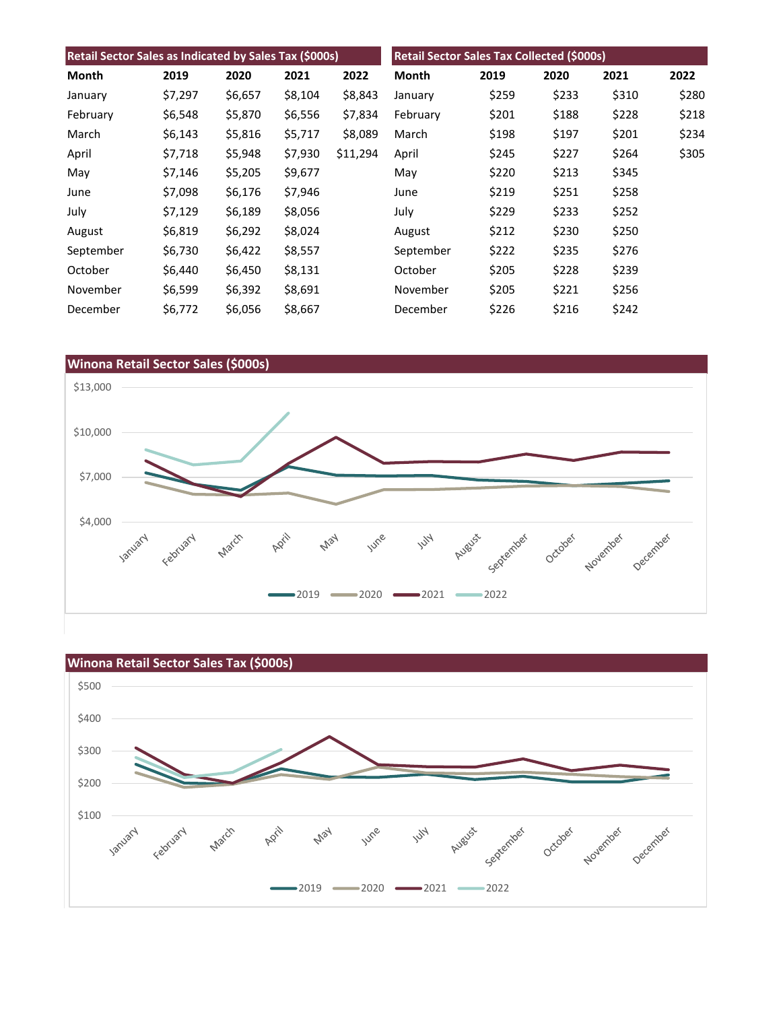| Retail Sector Sales as Indicated by Sales Tax (\$000s) |         |         |         | Retail Sector Sales Tax Collected (\$000s) |           |       |       |       |       |
|--------------------------------------------------------|---------|---------|---------|--------------------------------------------|-----------|-------|-------|-------|-------|
| Month                                                  | 2019    | 2020    | 2021    | 2022                                       | Month     | 2019  | 2020  | 2021  | 2022  |
| January                                                | \$7,297 | \$6,657 | \$8,104 | \$8,843                                    | January   | \$259 | \$233 | \$310 | \$280 |
| February                                               | \$6,548 | \$5,870 | \$6,556 | \$7,834                                    | February  | \$201 | \$188 | \$228 | \$218 |
| March                                                  | \$6,143 | \$5,816 | \$5,717 | \$8,089                                    | March     | \$198 | \$197 | \$201 | \$234 |
| April                                                  | \$7,718 | \$5,948 | \$7,930 | \$11,294                                   | April     | \$245 | \$227 | \$264 | \$305 |
| May                                                    | \$7,146 | \$5,205 | \$9,677 |                                            | May       | \$220 | \$213 | \$345 |       |
| June                                                   | \$7,098 | \$6,176 | \$7,946 |                                            | June      | \$219 | \$251 | \$258 |       |
| July                                                   | \$7,129 | \$6,189 | \$8,056 |                                            | July      | \$229 | \$233 | \$252 |       |
| August                                                 | \$6,819 | \$6,292 | \$8,024 |                                            | August    | \$212 | \$230 | \$250 |       |
| September                                              | \$6,730 | \$6,422 | \$8,557 |                                            | September | \$222 | \$235 | \$276 |       |
| October                                                | \$6,440 | \$6,450 | \$8,131 |                                            | October   | \$205 | \$228 | \$239 |       |
| November                                               | \$6,599 | \$6,392 | \$8,691 |                                            | November  | \$205 | \$221 | \$256 |       |
| December                                               | \$6,772 | \$6,056 | \$8,667 |                                            | December  | \$226 | \$216 | \$242 |       |



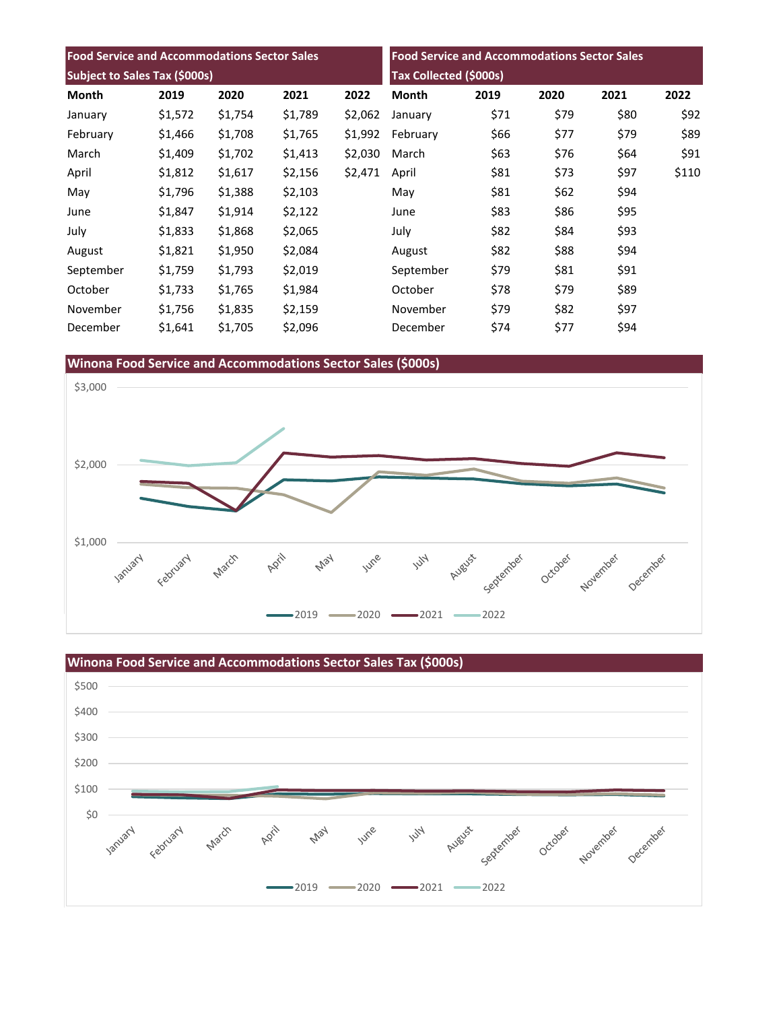| <b>Food Service and Accommodations Sector Sales</b> |         |         |         | <b>Food Service and Accommodations Sector Sales</b> |                        |      |      |      |       |
|-----------------------------------------------------|---------|---------|---------|-----------------------------------------------------|------------------------|------|------|------|-------|
| Subject to Sales Tax (\$000s)                       |         |         |         |                                                     | Tax Collected (\$000s) |      |      |      |       |
| Month                                               | 2019    | 2020    | 2021    | 2022                                                | <b>Month</b>           | 2019 | 2020 | 2021 | 2022  |
| January                                             | \$1,572 | \$1,754 | \$1,789 | \$2,062                                             | January                | \$71 | \$79 | \$80 | \$92  |
| February                                            | \$1,466 | \$1,708 | \$1,765 | \$1,992                                             | February               | \$66 | \$77 | \$79 | \$89  |
| March                                               | \$1,409 | \$1,702 | \$1,413 | \$2,030                                             | March                  | \$63 | \$76 | \$64 | \$91  |
| April                                               | \$1,812 | \$1,617 | \$2,156 | \$2,471                                             | April                  | \$81 | \$73 | \$97 | \$110 |
| May                                                 | \$1,796 | \$1,388 | \$2,103 |                                                     | May                    | \$81 | \$62 | \$94 |       |
| June                                                | \$1,847 | \$1,914 | \$2,122 |                                                     | June                   | \$83 | \$86 | \$95 |       |
| July                                                | \$1,833 | \$1,868 | \$2,065 |                                                     | July                   | \$82 | \$84 | \$93 |       |
| August                                              | \$1,821 | \$1,950 | \$2,084 |                                                     | August                 | \$82 | \$88 | \$94 |       |
| September                                           | \$1,759 | \$1,793 | \$2,019 |                                                     | September              | \$79 | \$81 | \$91 |       |
| October                                             | \$1,733 | \$1,765 | \$1,984 |                                                     | October                | \$78 | \$79 | \$89 |       |
| November                                            | \$1,756 | \$1,835 | \$2,159 |                                                     | November               | \$79 | \$82 | \$97 |       |
| December                                            | \$1,641 | \$1,705 | \$2,096 |                                                     | December               | \$74 | \$77 | \$94 |       |





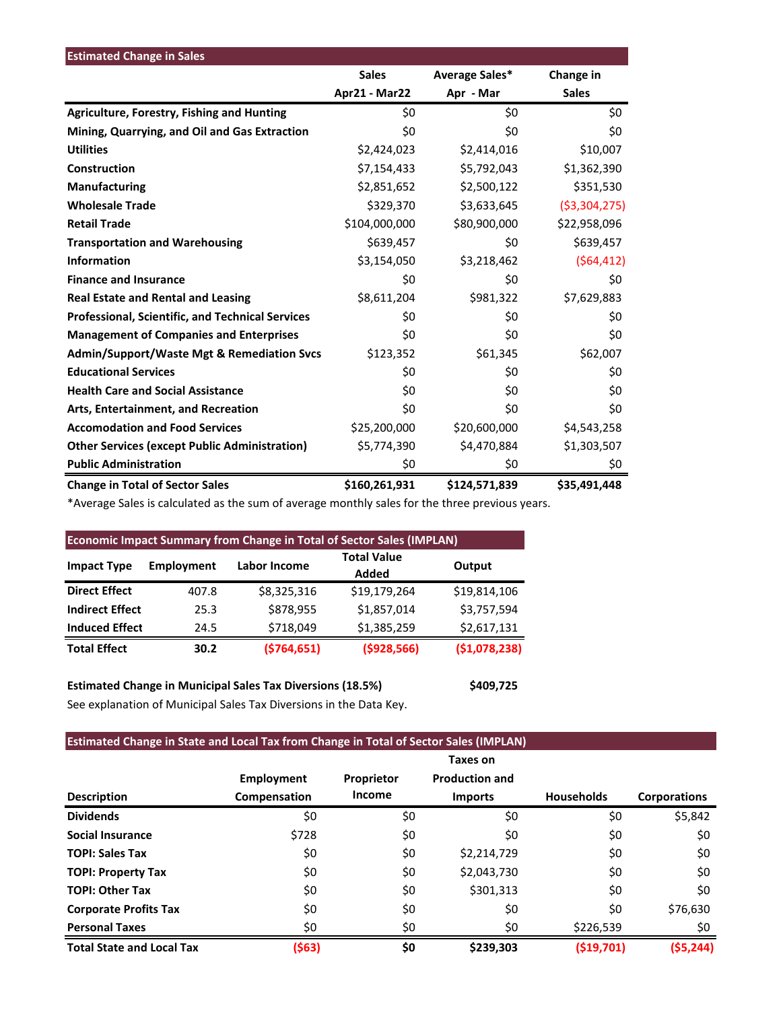| <b>Estimated Change in Sales</b>                        |               |                |                |
|---------------------------------------------------------|---------------|----------------|----------------|
|                                                         | <b>Sales</b>  | Average Sales* | Change in      |
|                                                         | Apr21 - Mar22 | Apr - Mar      | <b>Sales</b>   |
| <b>Agriculture, Forestry, Fishing and Hunting</b>       | \$0           | \$0            | \$0            |
| Mining, Quarrying, and Oil and Gas Extraction           | \$0           | \$0            | \$0            |
| <b>Utilities</b>                                        | \$2,424,023   | \$2,414,016    | \$10,007       |
| Construction                                            | \$7,154,433   | \$5,792,043    | \$1,362,390    |
| <b>Manufacturing</b>                                    | \$2,851,652   | \$2,500,122    | \$351,530      |
| <b>Wholesale Trade</b>                                  | \$329,370     | \$3,633,645    | ( \$3,304,275) |
| <b>Retail Trade</b>                                     | \$104,000,000 | \$80,900,000   | \$22,958,096   |
| <b>Transportation and Warehousing</b>                   | \$639,457     | \$0            | \$639,457      |
| <b>Information</b>                                      | \$3,154,050   | \$3,218,462    | (564, 412)     |
| <b>Finance and Insurance</b>                            | \$0           | \$0            | \$0            |
| <b>Real Estate and Rental and Leasing</b>               | \$8,611,204   | \$981,322      | \$7,629,883    |
| <b>Professional, Scientific, and Technical Services</b> | \$0           | \$0            | \$0            |
| <b>Management of Companies and Enterprises</b>          | \$0           | \$0            | \$0            |
| <b>Admin/Support/Waste Mgt &amp; Remediation Svcs</b>   | \$123,352     | \$61,345       | \$62,007       |
| <b>Educational Services</b>                             | \$0           | \$0            | \$0            |
| <b>Health Care and Social Assistance</b>                | \$0           | \$0            | \$0            |
| Arts, Entertainment, and Recreation                     | \$0           | \$0            | \$0            |
| <b>Accomodation and Food Services</b>                   | \$25,200,000  | \$20,600,000   | \$4,543,258    |
| <b>Other Services (except Public Administration)</b>    | \$5,774,390   | \$4,470,884    | \$1,303,507    |
| <b>Public Administration</b>                            | \$0           | \$0            | \$0            |
| <b>Change in Total of Sector Sales</b>                  | \$160,261,931 | \$124,571,839  | \$35,491,448   |

\*Average Sales is calculated as the sum of average monthly sales for the three previous years.

| <b>Economic Impact Summary from Change in Total of Sector Sales (IMPLAN)</b> |            |              |                             |              |  |  |  |
|------------------------------------------------------------------------------|------------|--------------|-----------------------------|--------------|--|--|--|
| <b>Impact Type</b>                                                           | Employment | Labor Income | <b>Total Value</b><br>Added | Output       |  |  |  |
| <b>Direct Effect</b>                                                         | 407.8      | \$8,325,316  | \$19,179,264                | \$19,814,106 |  |  |  |
| <b>Indirect Effect</b>                                                       | 25.3       | \$878,955    | \$1,857,014                 | \$3,757,594  |  |  |  |
| <b>Induced Effect</b>                                                        | 24.5       | \$718,049    | \$1,385,259                 | \$2,617,131  |  |  |  |
| <b>Total Effect</b>                                                          | 30.2       | (5764, 651)  | ( \$928, 566)               | (51,078,238) |  |  |  |

**Estimated Change in Municipal Sales Tax Diversions (18.5%) \$409,725** See explanation of Municipal Sales Tax Diversions in the Data Key.

# **Estimated Change in State and Local Tax from Change in Total of Sector Sales (IMPLAN)**

|                                  |                                   |                             | Taxes on              |                   |                     |
|----------------------------------|-----------------------------------|-----------------------------|-----------------------|-------------------|---------------------|
| <b>Description</b>               | <b>Employment</b><br>Compensation | Proprietor<br><b>Income</b> | <b>Production and</b> | <b>Households</b> | <b>Corporations</b> |
|                                  |                                   |                             | <b>Imports</b>        |                   |                     |
| <b>Dividends</b>                 | \$0                               | \$0                         | \$0                   | \$0               | \$5,842             |
| <b>Social Insurance</b>          | \$728                             | \$0                         | \$0                   | \$0               | \$0                 |
| <b>TOPI: Sales Tax</b>           | \$0                               | \$0                         | \$2,214,729           | \$0               | \$0                 |
| <b>TOPI: Property Tax</b>        | \$0                               | \$0                         | \$2,043,730           | \$0               | \$0                 |
| <b>TOPI: Other Tax</b>           | \$0                               | \$0                         | \$301,313             | \$0               | \$0                 |
| <b>Corporate Profits Tax</b>     | \$0                               | \$0                         | \$0                   | \$0               | \$76,630            |
| <b>Personal Taxes</b>            | \$0                               | \$0                         | \$0                   | \$226,539         | \$0                 |
| <b>Total State and Local Tax</b> | (\$63)                            | \$0                         | \$239,303             | (\$19,701)        | (55, 244)           |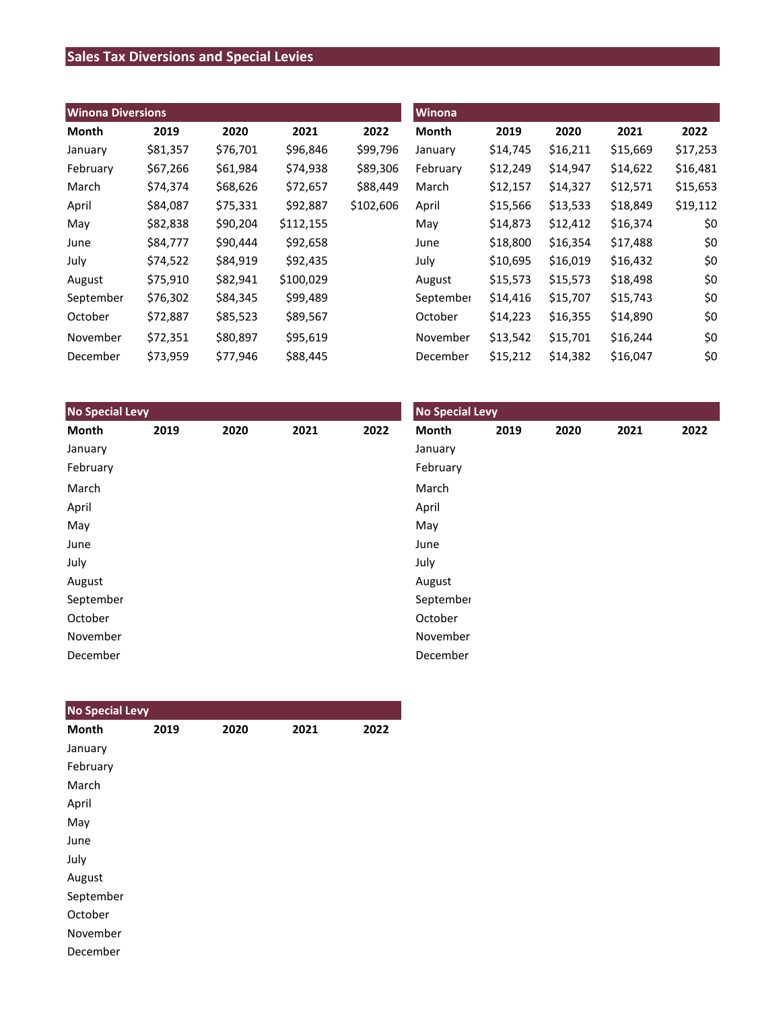# **Sales Tax Diversions and Special Levies**

| <b>Winona Diversions</b> |          |          |           |           | <b>Winona</b> |          |          |          |          |  |
|--------------------------|----------|----------|-----------|-----------|---------------|----------|----------|----------|----------|--|
| Month                    | 2019     | 2020     | 2021      | 2022      | <b>Month</b>  | 2019     | 2020     | 2021     | 2022     |  |
| January                  | \$81,357 | \$76,701 | \$96,846  | \$99,796  | January       | \$14,745 | \$16,211 | \$15,669 | \$17,253 |  |
| February                 | \$67,266 | \$61,984 | \$74,938  | \$89,306  | February      | \$12,249 | \$14,947 | \$14,622 | \$16,481 |  |
| March                    | \$74,374 | \$68,626 | \$72,657  | \$88,449  | March         | \$12,157 | \$14,327 | \$12,571 | \$15,653 |  |
| April                    | \$84,087 | \$75,331 | \$92,887  | \$102,606 | April         | \$15,566 | \$13,533 | \$18,849 | \$19,112 |  |
| May                      | \$82,838 | \$90,204 | \$112,155 |           | May           | \$14,873 | \$12,412 | \$16,374 | \$0      |  |
| June                     | \$84,777 | \$90,444 | \$92,658  |           | June          | \$18,800 | \$16,354 | \$17,488 | \$0      |  |
| July                     | \$74,522 | \$84,919 | \$92,435  |           | July          | \$10,695 | \$16,019 | \$16,432 | \$0      |  |
| August                   | \$75,910 | \$82,941 | \$100,029 |           | August        | \$15,573 | \$15,573 | \$18,498 | \$0      |  |
| September                | \$76,302 | \$84,345 | \$99,489  |           | September     | \$14,416 | \$15,707 | \$15,743 | \$0      |  |
| October                  | \$72,887 | \$85,523 | \$89,567  |           | October       | \$14,223 | \$16,355 | \$14,890 | \$0      |  |
| November                 | \$72,351 | \$80,897 | \$95,619  |           | November      | \$13,542 | \$15,701 | \$16,244 | \$0      |  |
| December                 | \$73,959 | \$77,946 | \$88,445  |           | December      | \$15,212 | \$14,382 | \$16,047 | \$0      |  |

| <b>No Special Levy</b> |      |      |      | <b>No Special Levy</b> |           |      |      |      |      |
|------------------------|------|------|------|------------------------|-----------|------|------|------|------|
| Month                  | 2019 | 2020 | 2021 | 2022                   | Month     | 2019 | 2020 | 2021 | 2022 |
| January                |      |      |      |                        | January   |      |      |      |      |
| February               |      |      |      |                        | February  |      |      |      |      |
| March                  |      |      |      |                        | March     |      |      |      |      |
| April                  |      |      |      |                        | April     |      |      |      |      |
| May                    |      |      |      |                        | May       |      |      |      |      |
| June                   |      |      |      |                        | June      |      |      |      |      |
| July                   |      |      |      |                        | July      |      |      |      |      |
| August                 |      |      |      |                        | August    |      |      |      |      |
| September              |      |      |      |                        | September |      |      |      |      |
| October                |      |      |      |                        | October   |      |      |      |      |
| November               |      |      |      |                        | November  |      |      |      |      |
| December               |      |      |      |                        | December  |      |      |      |      |

| <b>No Special Levy</b> |      |      |      |      |
|------------------------|------|------|------|------|
| <b>Month</b>           | 2019 | 2020 | 2021 | 2022 |
| January                |      |      |      |      |
| February               |      |      |      |      |
| March                  |      |      |      |      |
| April                  |      |      |      |      |
| May                    |      |      |      |      |
| June                   |      |      |      |      |
| July                   |      |      |      |      |
| August                 |      |      |      |      |
| September              |      |      |      |      |
| October                |      |      |      |      |
| November               |      |      |      |      |
| December               |      |      |      |      |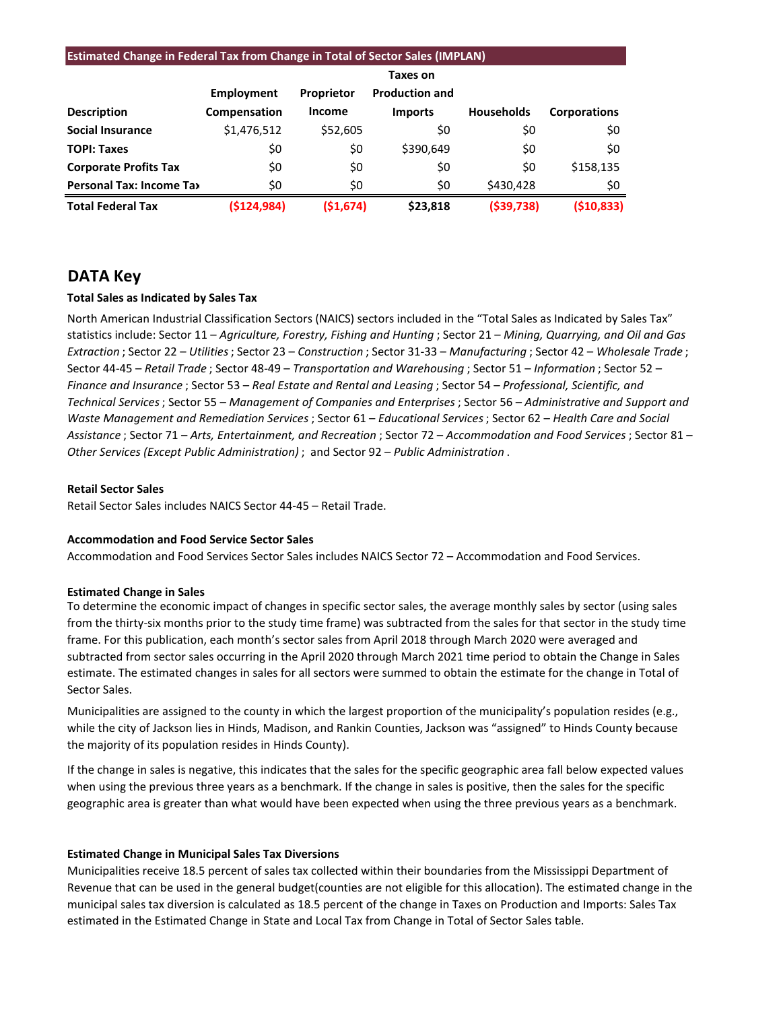| <b>Estimated Change in Federal Tax from Change in Total of Sector Sales (IMPLAN)</b> |                 |            |                       |                   |                     |  |  |  |  |
|--------------------------------------------------------------------------------------|-----------------|------------|-----------------------|-------------------|---------------------|--|--|--|--|
|                                                                                      | <b>Taxes on</b> |            |                       |                   |                     |  |  |  |  |
|                                                                                      | Employment      | Proprietor | <b>Production and</b> |                   |                     |  |  |  |  |
| <b>Description</b>                                                                   | Compensation    | Income     | <b>Imports</b>        | <b>Households</b> | <b>Corporations</b> |  |  |  |  |
| <b>Social Insurance</b>                                                              | \$1,476,512     | \$52,605   | \$0                   | \$0               | \$0                 |  |  |  |  |
| <b>TOPI: Taxes</b>                                                                   | \$0             | \$0        | \$390,649             | \$0               | \$0                 |  |  |  |  |
| <b>Corporate Profits Tax</b>                                                         | \$0             | \$0        | \$0                   | \$0               | \$158,135           |  |  |  |  |
| <b>Personal Tax: Income Tax</b>                                                      | \$0             | \$0        | \$0                   | \$430,428         | \$0                 |  |  |  |  |
| <b>Total Federal Tax</b>                                                             | (5124, 984)     | (51, 674)  | \$23,818              | ( \$39, 738)      | (510, 833)          |  |  |  |  |

# **DATA Key**

# **Total Sales as Indicated by Sales Tax**

North American Industrial Classification Sectors (NAICS) sectors included in the "Total Sales as Indicated by Sales Tax" statistics include: Sector 11 – *Agriculture, Forestry, Fishing and Hunting* ; Sector 21 – *Mining, Quarrying, and Oil and Gas Extraction* ; Sector 22 – *Utilities*; Sector 23 – *Construction* ; Sector 31-33 – *Manufacturing* ; Sector 42 – *Wholesale Trade* ; Sector 44-45 – *Retail Trade* ; Sector 48-49 – *Transportation and Warehousing* ; Sector 51 – *Information* ; Sector 52 – *Finance and Insurance* ; Sector 53 – *Real Estate and Rental and Leasing* ; Sector 54 – *Professional, Scientific, and Technical Services*; Sector 55 – *Management of Companies and Enterprises* ; Sector 56 – *Administrative and Support and Waste Management and Remediation Services* ; Sector 61 – *Educational Services*; Sector 62 – *Health Care and Social Assistance* ; Sector 71 – *Arts, Entertainment, and Recreation* ; Sector 72 – *Accommodation and Food Services* ; Sector 81 – *Other Services (Except Public Administration)* ; and Sector 92 – *Public Administration* .

### **Retail Sector Sales**

Retail Sector Sales includes NAICS Sector 44-45 – Retail Trade.

## **Accommodation and Food Service Sector Sales**

Accommodation and Food Services Sector Sales includes NAICS Sector 72 – Accommodation and Food Services.

## **Estimated Change in Sales**

To determine the economic impact of changes in specific sector sales, the average monthly sales by sector (using sales from the thirty-six months prior to the study time frame) was subtracted from the sales for that sector in the study time frame. For this publication, each month's sector sales from April 2018 through March 2020 were averaged and subtracted from sector sales occurring in the April 2020 through March 2021 time period to obtain the Change in Sales estimate. The estimated changes in sales for all sectors were summed to obtain the estimate for the change in Total of Sector Sales.

Municipalities are assigned to the county in which the largest proportion of the municipality's population resides (e.g., while the city of Jackson lies in Hinds, Madison, and Rankin Counties, Jackson was "assigned" to Hinds County because the majority of its population resides in Hinds County).

If the change in sales is negative, this indicates that the sales for the specific geographic area fall below expected values when using the previous three years as a benchmark. If the change in sales is positive, then the sales for the specific geographic area is greater than what would have been expected when using the three previous years as a benchmark.

## **Estimated Change in Municipal Sales Tax Diversions**

Municipalities receive 18.5 percent of sales tax collected within their boundaries from the Mississippi Department of Revenue that can be used in the general budget(counties are not eligible for this allocation). The estimated change in the municipal sales tax diversion is calculated as 18.5 percent of the change in Taxes on Production and Imports: Sales Tax estimated in the Estimated Change in State and Local Tax from Change in Total of Sector Sales table.